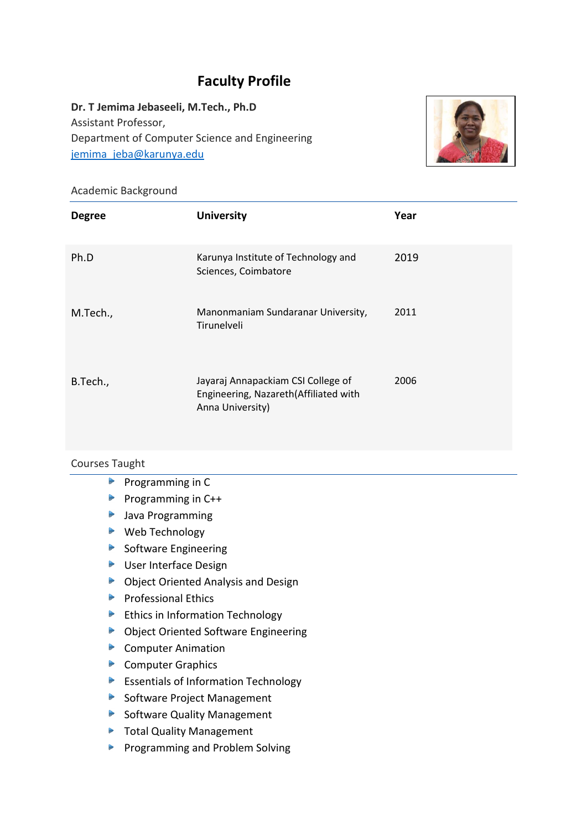# **Faculty Profile**

**Dr. T Jemima Jebaseeli, M.Tech., Ph.D** Assistant Professor, Department of Computer Science and Engineering [jemima\\_jeba@karunya.edu](mailto:jemima_jeba@karunya.edu)



## Academic Background

| <b>Degree</b> | <b>University</b>                                                                               | Year |
|---------------|-------------------------------------------------------------------------------------------------|------|
| Ph.D          | Karunya Institute of Technology and<br>Sciences, Coimbatore                                     | 2019 |
| M.Tech.,      | Manonmaniam Sundaranar University,<br>Tirunelveli                                               | 2011 |
| B.Tech.,      | Jayaraj Annapackiam CSI College of<br>Engineering, Nazareth(Affiliated with<br>Anna University) | 2006 |

#### Courses Taught

- $\blacktriangleright$ Programming in C
- Programming in  $C++$
- **Java Programming**
- ▶ Web Technology
- $\triangleright$  Software Engineering
- **D** User Interface Design
- ▶ Object Oriented Analysis and Design
- **Professional Ethics**
- Ethics in Information Technology
- ▶ Object Oriented Software Engineering
- Computer Animation
- Computer Graphics
- Essentials of Information Technology
- Software Project Management
- Software Quality Management
- **Total Quality Management**
- **Programming and Problem Solving**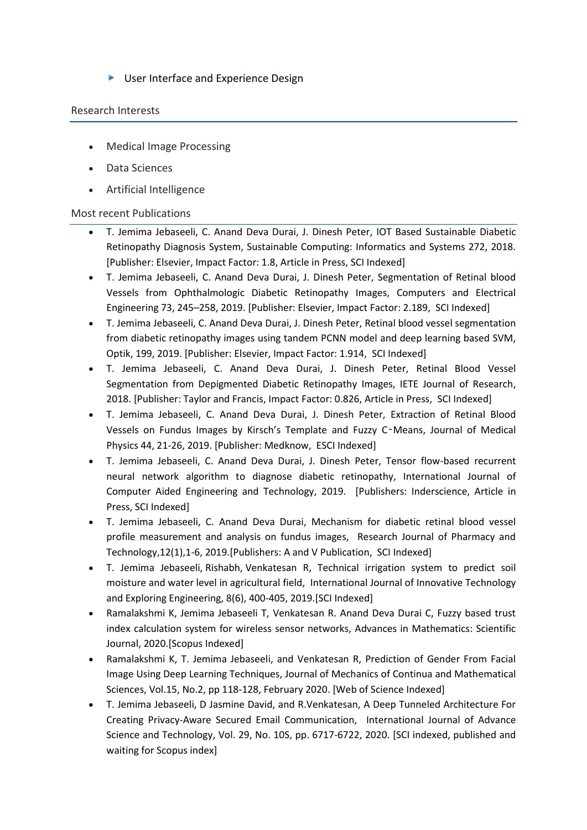▶ User Interface and Experience Design

#### Research Interests

- Medical Image Processing
- Data Sciences
- Artificial Intelligence

## Most recent Publications

- T. Jemima Jebaseeli, C. Anand Deva Durai, J. Dinesh Peter, IOT Based Sustainable Diabetic Retinopathy Diagnosis System, Sustainable Computing: Informatics and Systems 272, 2018. [Publisher: Elsevier, Impact Factor: 1.8, Article in Press, SCI Indexed]
- T. Jemima Jebaseeli, C. Anand Deva Durai, J. Dinesh Peter, Segmentation of Retinal blood Vessels from Ophthalmologic Diabetic Retinopathy Images, Computers and Electrical Engineering 73, 245–258, 2019. [Publisher: Elsevier, Impact Factor: 2.189, SCI Indexed]
- T. Jemima Jebaseeli, C. Anand Deva Durai, J. Dinesh Peter, Retinal blood vessel segmentation from diabetic retinopathy images using tandem PCNN model and deep learning based SVM, Optik, 199, 2019. [Publisher: Elsevier, Impact Factor: 1.914, SCI Indexed]
- T. Jemima Jebaseeli, C. Anand Deva Durai, J. Dinesh Peter, Retinal Blood Vessel Segmentation from Depigmented Diabetic Retinopathy Images, IETE Journal of Research, 2018. [Publisher: Taylor and Francis, Impact Factor: 0.826, Article in Press, SCI Indexed]
- T. Jemima Jebaseeli, C. Anand Deva Durai, J. Dinesh Peter, Extraction of Retinal Blood Vessels on Fundus Images by Kirsch's Template and Fuzzy C‑Means, Journal of Medical Physics 44, 21-26, 2019. [Publisher: Medknow, ESCI Indexed]
- T. Jemima Jebaseeli, C. Anand Deva Durai, J. Dinesh Peter, Tensor flow-based recurrent neural network algorithm to diagnose diabetic retinopathy, International Journal of Computer Aided Engineering and Technology, 2019. [Publishers: Inderscience, Article in Press, SCI Indexed]
- T. Jemima Jebaseeli, C. Anand Deva Durai, Mechanism for diabetic retinal blood vessel profile measurement and analysis on fundus images, Research Journal of Pharmacy and Technology,12(1),1-6, 2019.[Publishers: A and V Publication, SCI Indexed]
- T. Jemima Jebaseeli, [Rishabh,](https://www.scopus.com/authid/detail.uri?origin=resultslist&authorId=57209197215&zone=) Venkatesan R, [Technical irrigation system to predict soil](https://www.scopus.com/record/display.uri?eid=2-s2.0-85066806637&origin=resultslist&sort=plf-f&src=s&st1=Jebaseeli&st2=T+Jemima&nlo=1&nlr=20&nls=count-f&sid=0ac6a2ff9452ba7338ca1b897a85f5a9&sot=anl&sdt=aut&sl=41&s=AU-ID%28%22Jemima+Jebaseeli%2c+T.%22+57203538196%29&relpos=1&citeCnt=0&searchTerm=)  [moisture and water level in agricultural field,](https://www.scopus.com/record/display.uri?eid=2-s2.0-85066806637&origin=resultslist&sort=plf-f&src=s&st1=Jebaseeli&st2=T+Jemima&nlo=1&nlr=20&nls=count-f&sid=0ac6a2ff9452ba7338ca1b897a85f5a9&sot=anl&sdt=aut&sl=41&s=AU-ID%28%22Jemima+Jebaseeli%2c+T.%22+57203538196%29&relpos=1&citeCnt=0&searchTerm=) [International Journal of Innovative Technology](https://www.scopus.com/sourceid/21100889409?origin=resultslist)  [and Exploring Engineering,](https://www.scopus.com/sourceid/21100889409?origin=resultslist) 8(6), 400-405, 2019.[SCI Indexed]
- Ramalakshmi K, Jemima Jebaseeli T, Venkatesan R. Anand Deva Durai C, Fuzzy based trust index calculation system for wireless sensor networks, Advances in Mathematics: Scientific Journal, 2020.[Scopus Indexed]
- Ramalakshmi K, T. Jemima Jebaseeli, and Venkatesan R, Prediction of Gender From Facial Image Using Deep Learning Techniques, Journal of Mechanics of Continua and Mathematical Sciences, Vol.15, No.2, pp 118-128, February 2020. [Web of Science Indexed]
- T. Jemima Jebaseeli, D Jasmine David, and R.Venkatesan, A Deep Tunneled Architecture For Creating Privacy-Aware Secured Email Communication, International Journal of Advance Science and Technology, Vol. 29, No. 10S, pp. 6717-6722, 2020. [SCI indexed, published and waiting for Scopus index]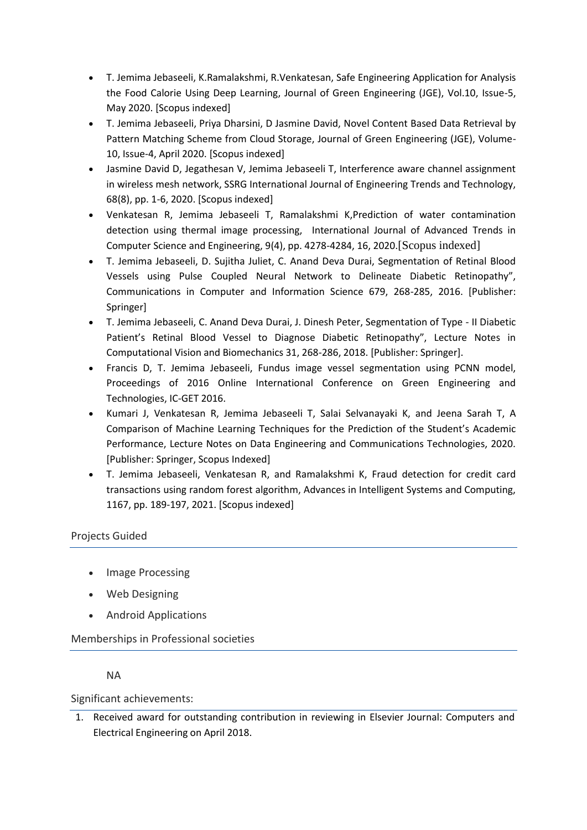- T. Jemima Jebaseeli, K.Ramalakshmi, R.Venkatesan, Safe Engineering Application for Analysis the Food Calorie Using Deep Learning, Journal of Green Engineering (JGE), Vol.10, Issue-5, May 2020. [Scopus indexed]
- T. Jemima Jebaseeli, Priya Dharsini, D Jasmine David, Novel Content Based Data Retrieval by Pattern Matching Scheme from Cloud Storage, Journal of Green Engineering (JGE), Volume-10, Issue-4, April 2020. [Scopus indexed]
- Jasmine David D, Jegathesan V, Jemima Jebaseeli T, Interference aware channel assignment in wireless mesh network, SSRG International Journal of Engineering Trends and Technology, 68(8), pp. 1-6, 2020. [Scopus indexed]
- Venkatesan R, Jemima Jebaseeli T, Ramalakshmi K,Prediction of water contamination detection using thermal image processing, International Journal of Advanced Trends in Computer Science and Engineering, 9(4), pp. 4278-4284, 16, 2020.[Scopus indexed]
- T. Jemima Jebaseeli, D. Sujitha Juliet, C. Anand Deva Durai, Segmentation of Retinal Blood Vessels using Pulse Coupled Neural Network to Delineate Diabetic Retinopathy", Communications in Computer and Information Science 679, 268-285, 2016. [Publisher: Springer]
- T. Jemima Jebaseeli, C. Anand Deva Durai, J. Dinesh Peter, Segmentation of Type II Diabetic Patient's Retinal Blood Vessel to Diagnose Diabetic Retinopathy", Lecture Notes in Computational Vision and Biomechanics 31, 268-286, 2018. [Publisher: Springer].
- Francis D, T. Jemima Jebaseeli, Fundus image vessel segmentation using PCNN model, Proceedings of 2016 Online International Conference on Green Engineering and Technologies, IC-GET 2016.
- Kumari J, Venkatesan R, Jemima Jebaseeli T, Salai Selvanayaki K, and Jeena Sarah T, A Comparison of Machine Learning Techniques for the Prediction of the Student's Academic Performance, Lecture Notes on Data Engineering and Communications Technologies, 2020. [Publisher: Springer, Scopus Indexed]
- T. Jemima Jebaseeli, Venkatesan R, and Ramalakshmi K, Fraud detection for credit card transactions using random forest algorithm, Advances in Intelligent Systems and Computing, 1167, pp. 189-197, 2021. [Scopus indexed]

# Projects Guided

- Image Processing
- Web Designing
- Android Applications

Memberships in Professional societies

# NA

Significant achievements:

1. Received award for outstanding contribution in reviewing in Elsevier Journal: Computers and Electrical Engineering on April 2018.